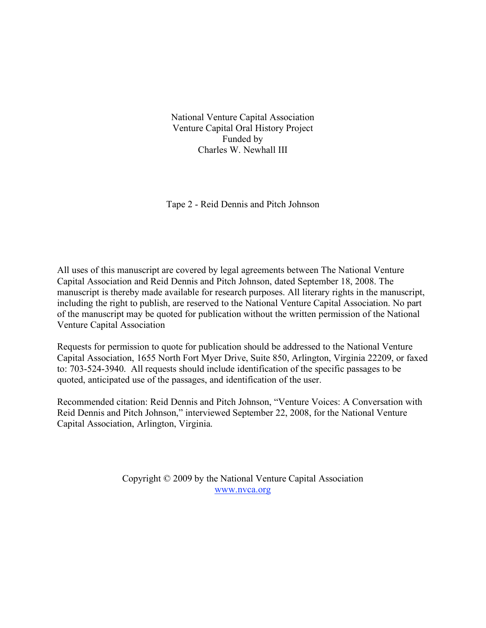National Venture Capital Association Venture Capital Oral History Project Funded by Charles W. Newhall III

Tape 2 - Reid Dennis and Pitch Johnson

All uses of this manuscript are covered by legal agreements between The National Venture Capital Association and Reid Dennis and Pitch Johnson, dated September 18, 2008. The manuscript is thereby made available for research purposes. All literary rights in the manuscript, including the right to publish, are reserved to the National Venture Capital Association. No part of the manuscript may be quoted for publication without the written permission of the National Venture Capital Association

Requests for permission to quote for publication should be addressed to the National Venture Capital Association, 1655 North Fort Myer Drive, Suite 850, Arlington, Virginia 22209, or faxed to: 703-524-3940. All requests should include identification of the specific passages to be quoted, anticipated use of the passages, and identification of the user.

Recommended citation: Reid Dennis and Pitch Johnson, "Venture Voices: A Conversation with Reid Dennis and Pitch Johnson," interviewed September 22, 2008, for the National Venture Capital Association, Arlington, Virginia.

> Copyright © 2009 by the National Venture Capital Association www.nvca.org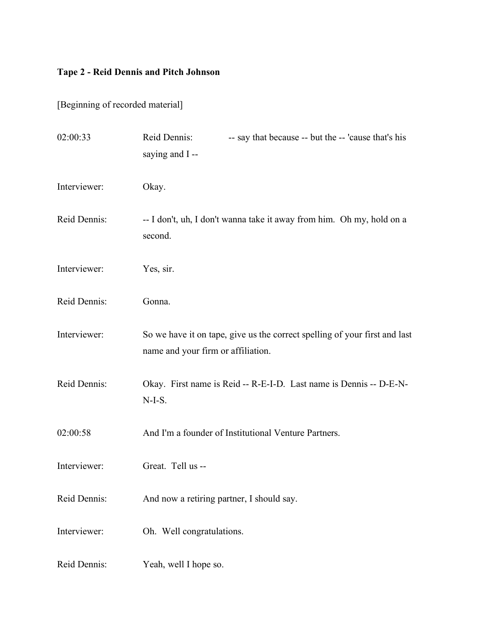[Beginning of recorded material]

| 02:00:33     | Reid Dennis:<br>-- say that because -- but the -- 'cause that's his<br>saying and I--                            |
|--------------|------------------------------------------------------------------------------------------------------------------|
| Interviewer: | Okay.                                                                                                            |
| Reid Dennis: | -- I don't, uh, I don't wanna take it away from him. Oh my, hold on a<br>second.                                 |
| Interviewer: | Yes, sir.                                                                                                        |
| Reid Dennis: | Gonna.                                                                                                           |
| Interviewer: | So we have it on tape, give us the correct spelling of your first and last<br>name and your firm or affiliation. |
| Reid Dennis: | Okay. First name is Reid -- R-E-I-D. Last name is Dennis -- D-E-N-<br>$N-I-S.$                                   |
| 02:00:58     | And I'm a founder of Institutional Venture Partners.                                                             |
| Interviewer: | Great. Tell us --                                                                                                |
| Reid Dennis: | And now a retiring partner, I should say.                                                                        |
| Interviewer: | Oh. Well congratulations.                                                                                        |
| Reid Dennis: | Yeah, well I hope so.                                                                                            |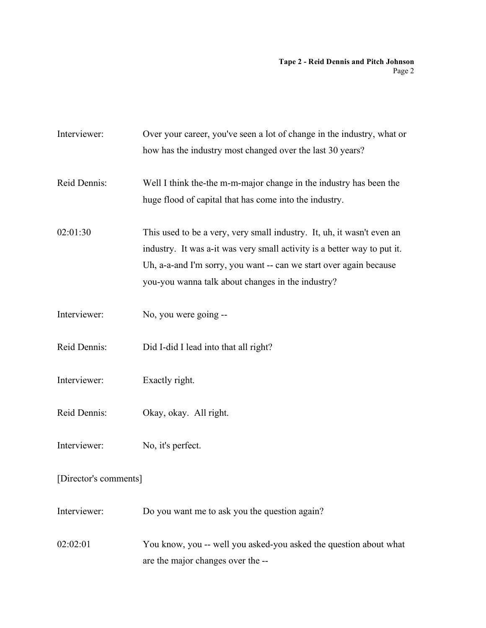| Interviewer:          | Over your career, you've seen a lot of change in the industry, what or<br>how has the industry most changed over the last 30 years?                                                                                                                                           |  |
|-----------------------|-------------------------------------------------------------------------------------------------------------------------------------------------------------------------------------------------------------------------------------------------------------------------------|--|
| Reid Dennis:          | Well I think the-the m-m-major change in the industry has been the<br>huge flood of capital that has come into the industry.                                                                                                                                                  |  |
| 02:01:30              | This used to be a very, very small industry. It, uh, it wasn't even an<br>industry. It was a-it was very small activity is a better way to put it.<br>Uh, a-a-and I'm sorry, you want -- can we start over again because<br>you-you wanna talk about changes in the industry? |  |
| Interviewer:          | No, you were going --                                                                                                                                                                                                                                                         |  |
| Reid Dennis:          | Did I-did I lead into that all right?                                                                                                                                                                                                                                         |  |
| Interviewer:          | Exactly right.                                                                                                                                                                                                                                                                |  |
| Reid Dennis:          | Okay, okay. All right.                                                                                                                                                                                                                                                        |  |
| Interviewer:          | No, it's perfect.                                                                                                                                                                                                                                                             |  |
| [Director's comments] |                                                                                                                                                                                                                                                                               |  |
| Interviewer:          | Do you want me to ask you the question again?                                                                                                                                                                                                                                 |  |
| 02:02:01              | You know, you -- well you asked-you asked the question about what<br>are the major changes over the --                                                                                                                                                                        |  |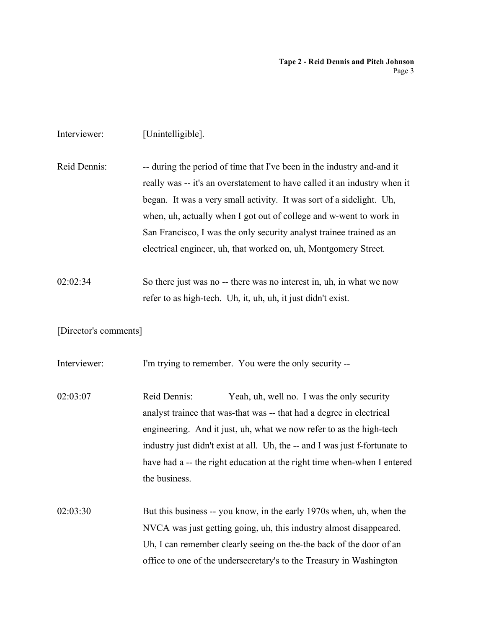| Interviewer:          | [Unintelligible].                                                                                                                                                                                                                                                                                                                                                                                                                            |
|-----------------------|----------------------------------------------------------------------------------------------------------------------------------------------------------------------------------------------------------------------------------------------------------------------------------------------------------------------------------------------------------------------------------------------------------------------------------------------|
| Reid Dennis:          | -- during the period of time that I've been in the industry and-and it<br>really was -- it's an overstatement to have called it an industry when it<br>began. It was a very small activity. It was sort of a sidelight. Uh,<br>when, uh, actually when I got out of college and w-went to work in<br>San Francisco, I was the only security analyst trainee trained as an<br>electrical engineer, uh, that worked on, uh, Montgomery Street. |
| 02:02:34              | So there just was no -- there was no interest in, uh, in what we now<br>refer to as high-tech. Uh, it, uh, uh, it just didn't exist.                                                                                                                                                                                                                                                                                                         |
| [Director's comments] |                                                                                                                                                                                                                                                                                                                                                                                                                                              |
| Interviewer:          | I'm trying to remember. You were the only security --                                                                                                                                                                                                                                                                                                                                                                                        |
| 02:03:07              | Reid Dennis:<br>Yeah, uh, well no. I was the only security<br>analyst trainee that was-that was -- that had a degree in electrical<br>engineering. And it just, uh, what we now refer to as the high-tech<br>industry just didn't exist at all. Uh, the -- and I was just f-fortunate to<br>have had a -- the right education at the right time when-when I entered<br>the business.                                                         |
| 02:03:30              | But this business -- you know, in the early 1970s when, uh, when the<br>NVCA was just getting going, uh, this industry almost disappeared.<br>Uh, I can remember clearly seeing on the-the back of the door of an<br>office to one of the undersecretary's to the Treasury in Washington                                                                                                                                                     |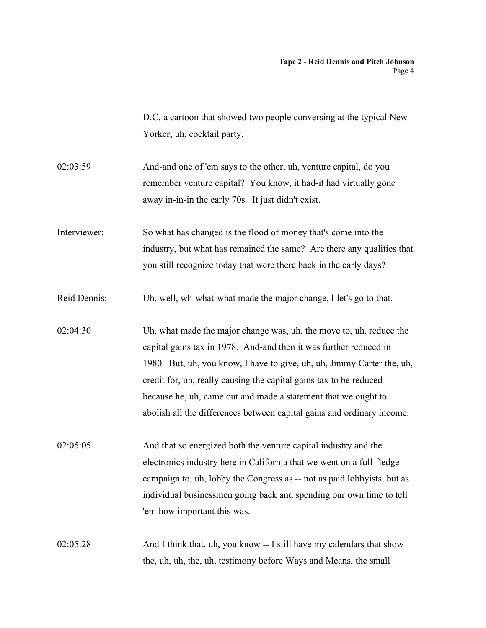D.C. a cartoon that showed two people conversing at the typical New Yorker, uh, cocktail party.

- 02:03:59 And-and one of 'em says to the other, uh, venture capital, do you remember venture capital? You know, it had-it had virtually gone away in-in-in the early 70s. It just didn't exist.
- Interviewer: So what has changed is the flood of money that's come into the industry, but what has remained the same? Are there any qualities that you still recognize today that were there back in the early days?
- Reid Dennis: Uh, well, wh-what-what made the major change, l-let's go to that.
- 02:04:30 Uh, what made the major change was, uh, the move to, uh, reduce the capital gains tax in 1978. And-and then it was further reduced in 1980. But, uh, you know, I have to give, uh, uh, Jimmy Carter the, uh, credit for, uh, really causing the capital gains tax to be reduced because he, uh, came out and made a statement that we ought to abolish all the differences between capital gains and ordinary income.
- 02:05:05 And that so energized both the venture capital industry and the electronics industry here in California that we went on a full-fledge campaign to, uh, lobby the Congress as -- not as paid lobbyists, but as individual businessmen going back and spending our own time to tell 'em how important this was.
- 02:05:28 And I think that, uh, you know -- I still have my calendars that show the, uh, uh, the, uh, testimony before Ways and Means, the small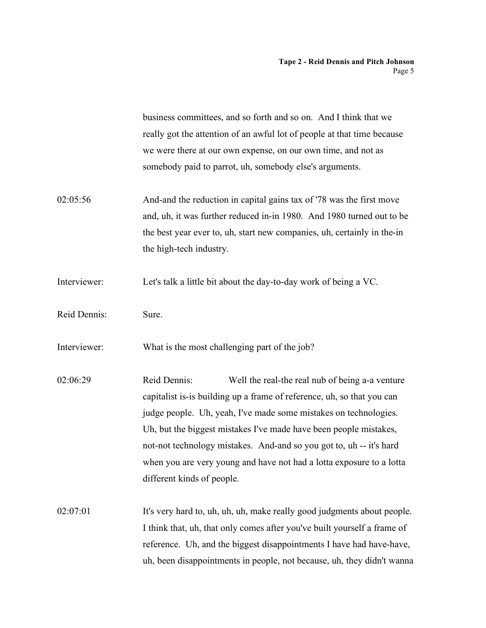|              | business committees, and so forth and so on. And I think that we<br>really got the attention of an awful lot of people at that time because<br>we were there at our own expense, on our own time, and not as<br>somebody paid to parrot, uh, somebody else's arguments.                                                                                                                                                                                         |
|--------------|-----------------------------------------------------------------------------------------------------------------------------------------------------------------------------------------------------------------------------------------------------------------------------------------------------------------------------------------------------------------------------------------------------------------------------------------------------------------|
| 02:05:56     | And-and the reduction in capital gains tax of '78 was the first move<br>and, uh, it was further reduced in-in 1980. And 1980 turned out to be<br>the best year ever to, uh, start new companies, uh, certainly in the-in<br>the high-tech industry.                                                                                                                                                                                                             |
| Interviewer: | Let's talk a little bit about the day-to-day work of being a VC.                                                                                                                                                                                                                                                                                                                                                                                                |
| Reid Dennis: | Sure.                                                                                                                                                                                                                                                                                                                                                                                                                                                           |
| Interviewer: | What is the most challenging part of the job?                                                                                                                                                                                                                                                                                                                                                                                                                   |
| 02:06:29     | Reid Dennis:<br>Well the real-the real nub of being a-a venture<br>capitalist is-is building up a frame of reference, uh, so that you can<br>judge people. Uh, yeah, I've made some mistakes on technologies.<br>Uh, but the biggest mistakes I've made have been people mistakes,<br>not-not technology mistakes. And-and so you got to, uh -- it's hard<br>when you are very young and have not had a lotta exposure to a lotta<br>different kinds of people. |
| 02:07:01     | It's very hard to, uh, uh, uh, make really good judgments about people.<br>I think that, uh, that only comes after you've built yourself a frame of<br>reference. Uh, and the biggest disappointments I have had have-have,<br>uh, been disappointments in people, not because, uh, they didn't wanna                                                                                                                                                           |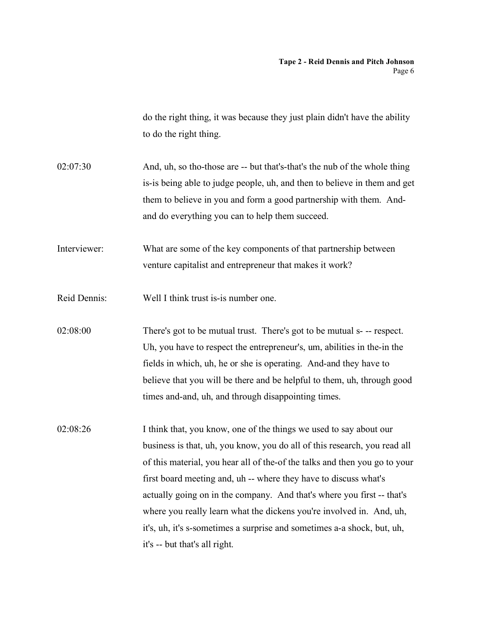|              | do the right thing, it was because they just plain didn't have the ability<br>to do the right thing. |
|--------------|------------------------------------------------------------------------------------------------------|
|              |                                                                                                      |
| 02:07:30     | And, uh, so tho-those are -- but that's-that's the nub of the whole thing                            |
|              | is-is being able to judge people, uh, and then to believe in them and get                            |
|              | them to believe in you and form a good partnership with them. And-                                   |
|              | and do everything you can to help them succeed.                                                      |
| Interviewer: | What are some of the key components of that partnership between                                      |
|              | venture capitalist and entrepreneur that makes it work?                                              |
| Reid Dennis: | Well I think trust is-is number one.                                                                 |
| 02:08:00     | There's got to be mutual trust. There's got to be mutual s- -- respect.                              |
|              | Uh, you have to respect the entrepreneur's, um, abilities in the-in the                              |
|              | fields in which, uh, he or she is operating. And-and they have to                                    |
|              | believe that you will be there and be helpful to them, uh, through good                              |
|              | times and-and, uh, and through disappointing times.                                                  |
| 02:08:26     | I think that, you know, one of the things we used to say about our                                   |
|              | business is that, uh, you know, you do all of this research, you read all                            |
|              | of this material, you hear all of the-of the talks and then you go to your                           |
|              | first board meeting and, uh -- where they have to discuss what's                                     |
|              | actually going on in the company. And that's where you first -- that's                               |
|              | where you really learn what the dickens you're involved in. And, uh,                                 |
|              | it's, uh, it's s-sometimes a surprise and sometimes a-a shock, but, uh,                              |
|              | it's -- but that's all right.                                                                        |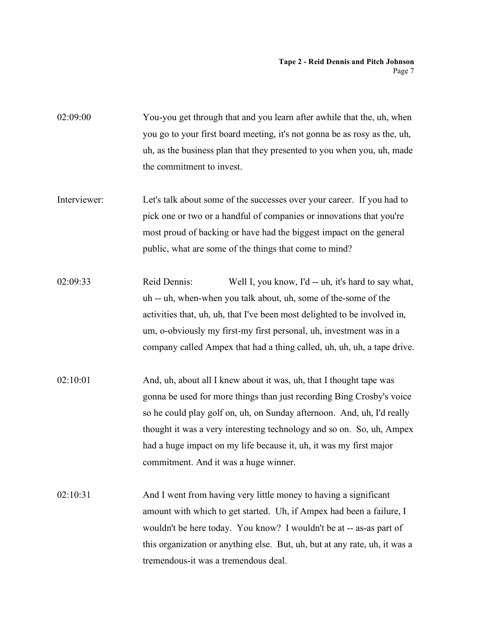02:09:00 You-you get through that and you learn after awhile that the, uh, when you go to your first board meeting, it's not gonna be as rosy as the, uh, uh, as the business plan that they presented to you when you, uh, made the commitment to invest.

Interviewer: Let's talk about some of the successes over your career. If you had to pick one or two or a handful of companies or innovations that you're most proud of backing or have had the biggest impact on the general public, what are some of the things that come to mind?

02:09:33 Reid Dennis: Well I, you know, I'd -- uh, it's hard to say what, uh -- uh, when-when you talk about, uh, some of the-some of the activities that, uh, uh, that I've been most delighted to be involved in, um, o-obviously my first-my first personal, uh, investment was in a company called Ampex that had a thing called, uh, uh, uh, a tape drive.

- 02:10:01 And, uh, about all I knew about it was, uh, that I thought tape was gonna be used for more things than just recording Bing Crosby's voice so he could play golf on, uh, on Sunday afternoon. And, uh, I'd really thought it was a very interesting technology and so on. So, uh, Ampex had a huge impact on my life because it, uh, it was my first major commitment. And it was a huge winner.
- 02:10:31 And I went from having very little money to having a significant amount with which to get started. Uh, if Ampex had been a failure, I wouldn't be here today. You know? I wouldn't be at -- as-as part of this organization or anything else. But, uh, but at any rate, uh, it was a tremendous-it was a tremendous deal.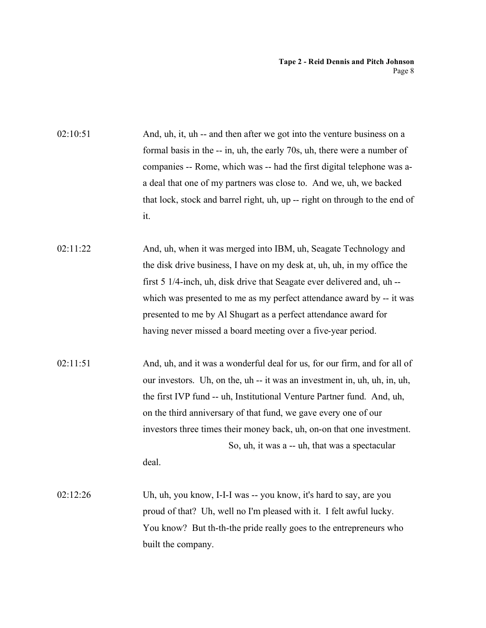02:10:51 And, uh, it, uh -- and then after we got into the venture business on a formal basis in the -- in, uh, the early 70s, uh, there were a number of companies -- Rome, which was -- had the first digital telephone was aa deal that one of my partners was close to. And we, uh, we backed that lock, stock and barrel right, uh, up -- right on through to the end of it. 02:11:22 And, uh, when it was merged into IBM, uh, Seagate Technology and the disk drive business, I have on my desk at, uh, uh, in my office the first 5 1/4-inch, uh, disk drive that Seagate ever delivered and, uh - which was presented to me as my perfect attendance award by -- it was presented to me by Al Shugart as a perfect attendance award for having never missed a board meeting over a five-year period. 02:11:51 And, uh, and it was a wonderful deal for us, for our firm, and for all of our investors. Uh, on the, uh -- it was an investment in, uh, uh, in, uh, the first IVP fund -- uh, Institutional Venture Partner fund. And, uh, on the third anniversary of that fund, we gave every one of our investors three times their money back, uh, on-on that one investment. So, uh, it was a -- uh, that was a spectacular deal. 02:12:26 Uh, uh, you know, I-I-I was -- you know, it's hard to say, are you proud of that? Uh, well no I'm pleased with it. I felt awful lucky. You know? But th-th-the pride really goes to the entrepreneurs who

built the company.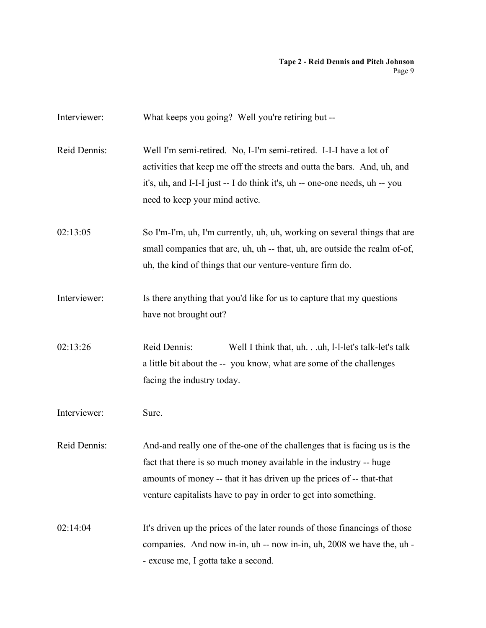| Interviewer: | What keeps you going? Well you're retiring but --                                                                                                                                                                                                                                         |
|--------------|-------------------------------------------------------------------------------------------------------------------------------------------------------------------------------------------------------------------------------------------------------------------------------------------|
| Reid Dennis: | Well I'm semi-retired. No, I-I'm semi-retired. I-I-I have a lot of<br>activities that keep me off the streets and outta the bars. And, uh, and<br>it's, uh, and I-I-I just -- I do think it's, uh -- one-one needs, uh -- you<br>need to keep your mind active.                           |
| 02:13:05     | So I'm-I'm, uh, I'm currently, uh, uh, working on several things that are<br>small companies that are, uh, uh -- that, uh, are outside the realm of-of,<br>uh, the kind of things that our venture-venture firm do.                                                                       |
| Interviewer: | Is there anything that you'd like for us to capture that my questions<br>have not brought out?                                                                                                                                                                                            |
| 02:13:26     | Reid Dennis:<br>Well I think that, uh.uh, 1-1-let's talk-let's talk<br>a little bit about the -- you know, what are some of the challenges<br>facing the industry today.                                                                                                                  |
| Interviewer: | Sure.                                                                                                                                                                                                                                                                                     |
| Reid Dennis: | And-and really one of the-one of the challenges that is facing us is the<br>fact that there is so much money available in the industry -- huge<br>amounts of money -- that it has driven up the prices of -- that-that<br>venture capitalists have to pay in order to get into something. |
| 02:14:04     | It's driven up the prices of the later rounds of those financings of those<br>companies. And now in-in, uh -- now in-in, uh, 2008 we have the, uh -<br>- excuse me, I gotta take a second.                                                                                                |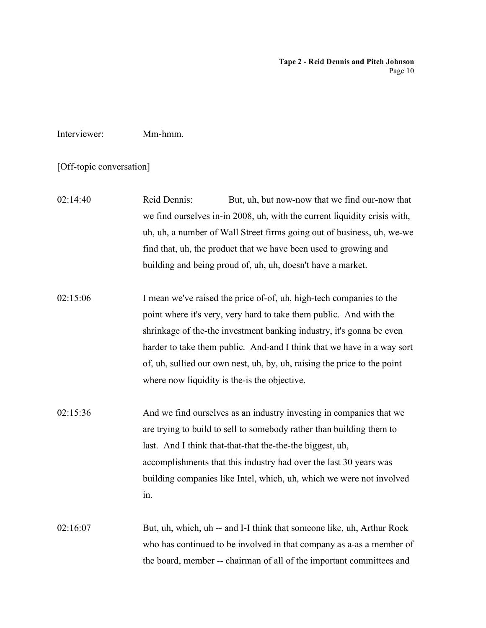# Interviewer: Mm-hmm.

[Off-topic conversation]

02:14:40 Reid Dennis: But, uh, but now-now that we find our-now that we find ourselves in-in 2008, uh, with the current liquidity crisis with, uh, uh, a number of Wall Street firms going out of business, uh, we-we find that, uh, the product that we have been used to growing and building and being proud of, uh, uh, doesn't have a market.

02:15:06 I mean we've raised the price of-of, uh, high-tech companies to the point where it's very, very hard to take them public. And with the shrinkage of the-the investment banking industry, it's gonna be even harder to take them public. And-and I think that we have in a way sort of, uh, sullied our own nest, uh, by, uh, raising the price to the point where now liquidity is the-is the objective.

02:15:36 And we find ourselves as an industry investing in companies that we are trying to build to sell to somebody rather than building them to last. And I think that-that-that the-the-the biggest, uh, accomplishments that this industry had over the last 30 years was building companies like Intel, which, uh, which we were not involved in.

02:16:07 But, uh, which, uh -- and I-I think that someone like, uh, Arthur Rock who has continued to be involved in that company as a-as a member of the board, member -- chairman of all of the important committees and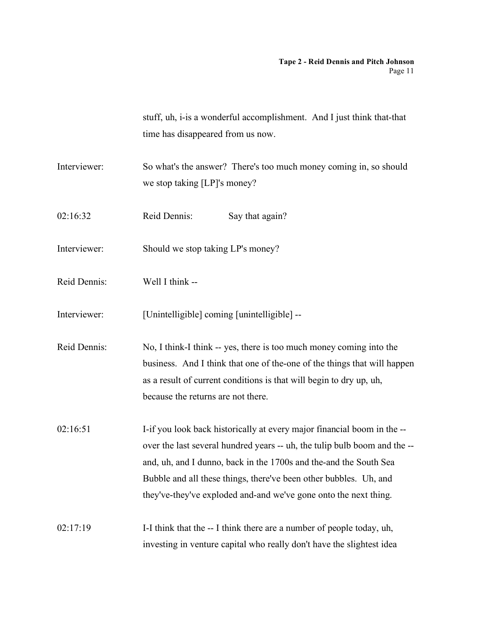|              | stuff, uh, i-is a wonderful accomplishment. And I just think that-that<br>time has disappeared from us now.                                                                                                                                                                                                                                                        |
|--------------|--------------------------------------------------------------------------------------------------------------------------------------------------------------------------------------------------------------------------------------------------------------------------------------------------------------------------------------------------------------------|
| Interviewer: | So what's the answer? There's too much money coming in, so should<br>we stop taking [LP]'s money?                                                                                                                                                                                                                                                                  |
| 02:16:32     | Reid Dennis:<br>Say that again?                                                                                                                                                                                                                                                                                                                                    |
| Interviewer: | Should we stop taking LP's money?                                                                                                                                                                                                                                                                                                                                  |
| Reid Dennis: | Well I think --                                                                                                                                                                                                                                                                                                                                                    |
| Interviewer: | [Unintelligible] coming [unintelligible] --                                                                                                                                                                                                                                                                                                                        |
| Reid Dennis: | No, I think-I think -- yes, there is too much money coming into the<br>business. And I think that one of the-one of the things that will happen<br>as a result of current conditions is that will begin to dry up, uh,<br>because the returns are not there.                                                                                                       |
| 02:16:51     | I-if you look back historically at every major financial boom in the --<br>over the last several hundred years -- uh, the tulip bulb boom and the --<br>and, uh, and I dunno, back in the 1700s and the-and the South Sea<br>Bubble and all these things, there've been other bubbles. Uh, and<br>they've-they've exploded and-and we've gone onto the next thing. |
| 02:17:19     | I-I think that the -- I think there are a number of people today, uh,<br>investing in venture capital who really don't have the slightest idea                                                                                                                                                                                                                     |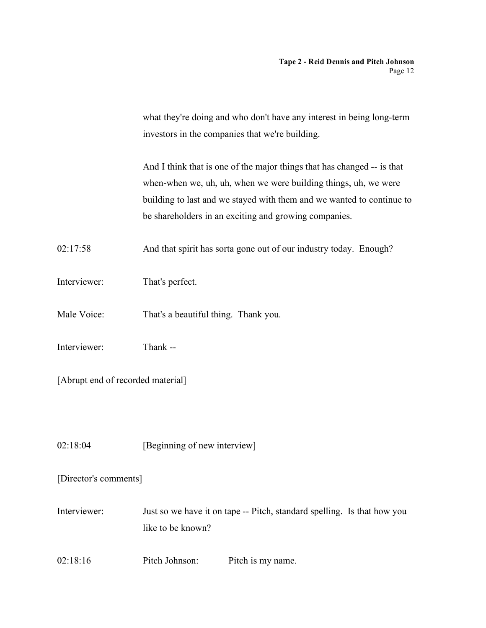what they're doing and who don't have any interest in being long-term investors in the companies that we're building.

And I think that is one of the major things that has changed -- is that when-when we, uh, uh, when we were building things, uh, we were building to last and we stayed with them and we wanted to continue to be shareholders in an exciting and growing companies.

02:17:58 And that spirit has sorta gone out of our industry today. Enough?

- Interviewer: That's perfect.
- Male Voice: That's a beautiful thing. Thank you.
- Interviewer: Thank --

[Abrupt end of recorded material]

02:18:04 [Beginning of new interview]

[Director's comments]

Interviewer: Just so we have it on tape -- Pitch, standard spelling. Is that how you like to be known?

02:18:16 Pitch Johnson: Pitch is my name.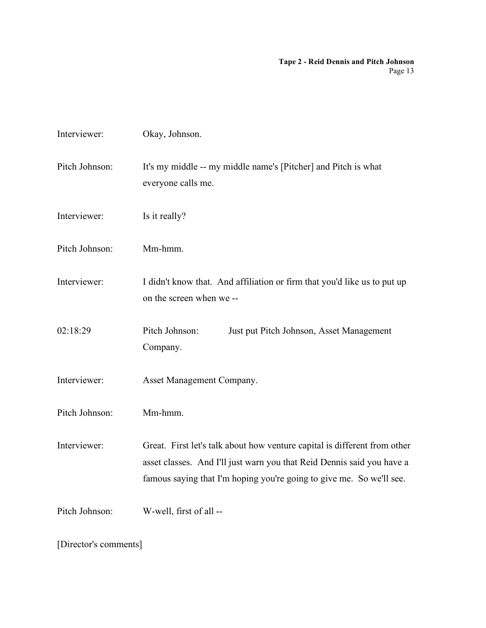| Interviewer:          | Okay, Johnson.                                                                                                                                                                                                              |  |
|-----------------------|-----------------------------------------------------------------------------------------------------------------------------------------------------------------------------------------------------------------------------|--|
| Pitch Johnson:        | It's my middle -- my middle name's [Pitcher] and Pitch is what<br>everyone calls me.                                                                                                                                        |  |
| Interviewer:          | Is it really?                                                                                                                                                                                                               |  |
| Pitch Johnson:        | Mm-hmm.                                                                                                                                                                                                                     |  |
| Interviewer:          | I didn't know that. And affiliation or firm that you'd like us to put up<br>on the screen when we--                                                                                                                         |  |
| 02:18:29              | Pitch Johnson:<br>Just put Pitch Johnson, Asset Management<br>Company.                                                                                                                                                      |  |
| Interviewer:          | Asset Management Company.                                                                                                                                                                                                   |  |
| Pitch Johnson:        | Mm-hmm.                                                                                                                                                                                                                     |  |
| Interviewer:          | Great. First let's talk about how venture capital is different from other<br>asset classes. And I'll just warn you that Reid Dennis said you have a<br>famous saying that I'm hoping you're going to give me. So we'll see. |  |
| Pitch Johnson:        | W-well, first of all --                                                                                                                                                                                                     |  |
| [Director's comments] |                                                                                                                                                                                                                             |  |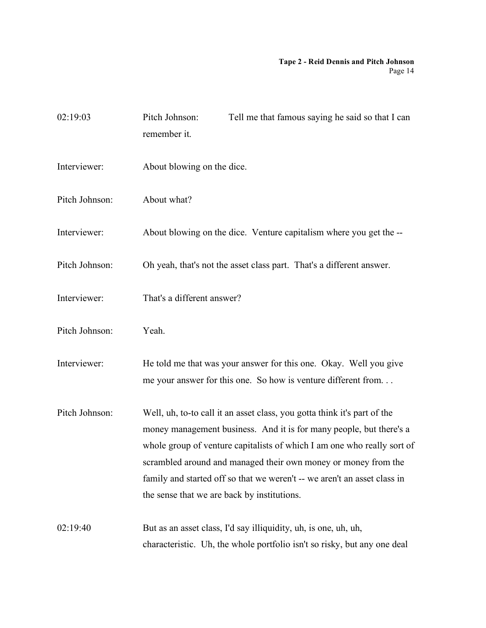| 02:19:03       | Pitch Johnson:<br>remember it.              | Tell me that famous saying he said so that I can                                                                                                                                                                                                                                                                                                                         |
|----------------|---------------------------------------------|--------------------------------------------------------------------------------------------------------------------------------------------------------------------------------------------------------------------------------------------------------------------------------------------------------------------------------------------------------------------------|
| Interviewer:   | About blowing on the dice.                  |                                                                                                                                                                                                                                                                                                                                                                          |
| Pitch Johnson: | About what?                                 |                                                                                                                                                                                                                                                                                                                                                                          |
| Interviewer:   |                                             | About blowing on the dice. Venture capitalism where you get the --                                                                                                                                                                                                                                                                                                       |
| Pitch Johnson: |                                             | Oh yeah, that's not the asset class part. That's a different answer.                                                                                                                                                                                                                                                                                                     |
| Interviewer:   | That's a different answer?                  |                                                                                                                                                                                                                                                                                                                                                                          |
| Pitch Johnson: | Yeah.                                       |                                                                                                                                                                                                                                                                                                                                                                          |
| Interviewer:   |                                             | He told me that was your answer for this one. Okay. Well you give<br>me your answer for this one. So how is venture different from                                                                                                                                                                                                                                       |
| Pitch Johnson: | the sense that we are back by institutions. | Well, uh, to-to call it an asset class, you gotta think it's part of the<br>money management business. And it is for many people, but there's a<br>whole group of venture capitalists of which I am one who really sort of<br>scrambled around and managed their own money or money from the<br>family and started off so that we weren't -- we aren't an asset class in |
| 02:19:40       |                                             | But as an asset class, I'd say illiquidity, uh, is one, uh, uh,<br>characteristic. Uh, the whole portfolio isn't so risky, but any one deal                                                                                                                                                                                                                              |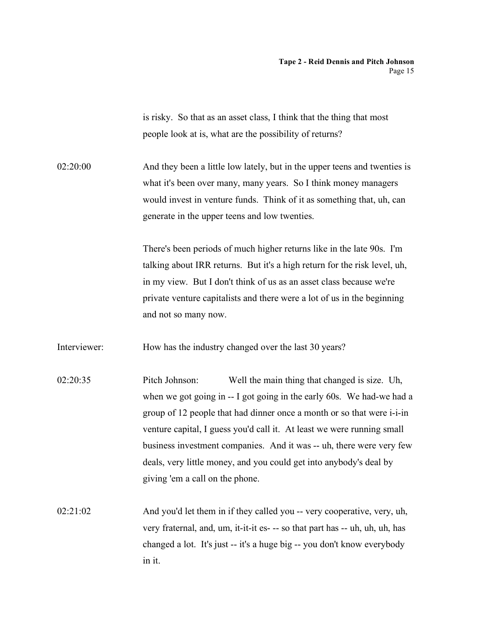is risky. So that as an asset class, I think that the thing that most people look at is, what are the possibility of returns?

02:20:00 And they been a little low lately, but in the upper teens and twenties is what it's been over many, many years. So I think money managers would invest in venture funds. Think of it as something that, uh, can generate in the upper teens and low twenties.

> There's been periods of much higher returns like in the late 90s. I'm talking about IRR returns. But it's a high return for the risk level, uh, in my view. But I don't think of us as an asset class because we're private venture capitalists and there were a lot of us in the beginning and not so many now.

Interviewer: How has the industry changed over the last 30 years?

- 02:20:35 Pitch Johnson: Well the main thing that changed is size. Uh, when we got going in -- I got going in the early 60s. We had-we had a group of 12 people that had dinner once a month or so that were i-i-in venture capital, I guess you'd call it. At least we were running small business investment companies. And it was -- uh, there were very few deals, very little money, and you could get into anybody's deal by giving 'em a call on the phone.
- 02:21:02 And you'd let them in if they called you -- very cooperative, very, uh, very fraternal, and, um, it-it-it es- -- so that part has -- uh, uh, uh, has changed a lot. It's just -- it's a huge big -- you don't know everybody in it.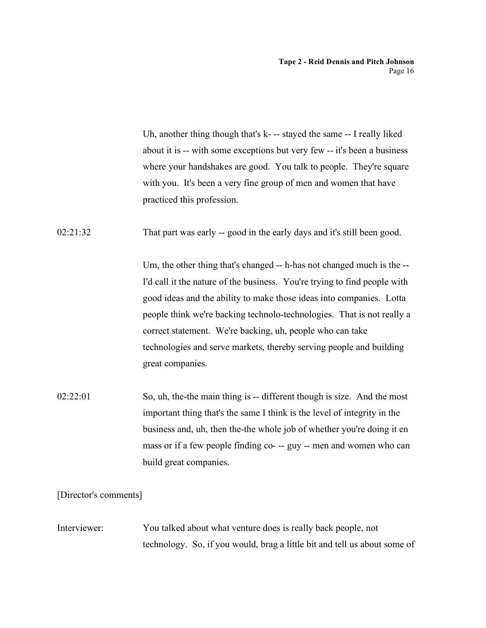Uh, another thing though that's k- -- stayed the same -- I really liked about it is -- with some exceptions but very few -- it's been a business where your handshakes are good. You talk to people. They're square with you. It's been a very fine group of men and women that have practiced this profession.

02:21:32 That part was early -- good in the early days and it's still been good.

Um, the other thing that's changed -- h-has not changed much is the -- I'd call it the nature of the business. You're trying to find people with good ideas and the ability to make those ideas into companies. Lotta people think we're backing technolo-technologies. That is not really a correct statement. We're backing, uh, people who can take technologies and serve markets, thereby serving people and building great companies.

02:22:01 So, uh, the-the main thing is -- different though is size. And the most important thing that's the same I think is the level of integrity in the business and, uh, then the-the whole job of whether you're doing it en mass or if a few people finding co- -- guy -- men and women who can build great companies.

[Director's comments]

Interviewer: You talked about what venture does is really back people, not technology. So, if you would, brag a little bit and tell us about some of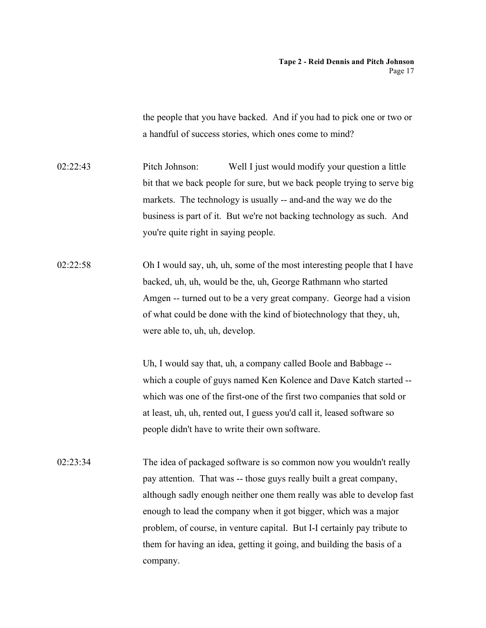the people that you have backed. And if you had to pick one or two or a handful of success stories, which ones come to mind?

02:22:43 Pitch Johnson: Well I just would modify your question a little bit that we back people for sure, but we back people trying to serve big markets. The technology is usually -- and-and the way we do the business is part of it. But we're not backing technology as such. And you're quite right in saying people.

02:22:58 Oh I would say, uh, uh, some of the most interesting people that I have backed, uh, uh, would be the, uh, George Rathmann who started Amgen -- turned out to be a very great company. George had a vision of what could be done with the kind of biotechnology that they, uh, were able to, uh, uh, develop.

> Uh, I would say that, uh, a company called Boole and Babbage - which a couple of guys named Ken Kolence and Dave Katch started - which was one of the first-one of the first two companies that sold or at least, uh, uh, rented out, I guess you'd call it, leased software so people didn't have to write their own software.

02:23:34 The idea of packaged software is so common now you wouldn't really pay attention. That was -- those guys really built a great company, although sadly enough neither one them really was able to develop fast enough to lead the company when it got bigger, which was a major problem, of course, in venture capital. But I-I certainly pay tribute to them for having an idea, getting it going, and building the basis of a company.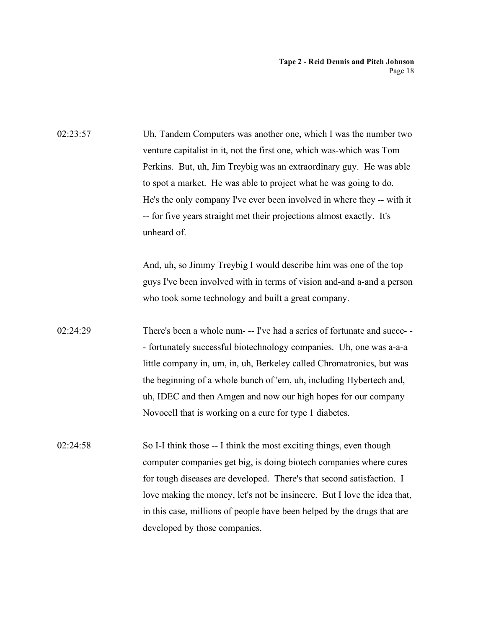02:23:57 Uh, Tandem Computers was another one, which I was the number two venture capitalist in it, not the first one, which was-which was Tom Perkins. But, uh, Jim Treybig was an extraordinary guy. He was able to spot a market. He was able to project what he was going to do. He's the only company I've ever been involved in where they -- with it -- for five years straight met their projections almost exactly. It's unheard of. And, uh, so Jimmy Treybig I would describe him was one of the top guys I've been involved with in terms of vision and-and a-and a person who took some technology and built a great company. 02:24:29 There's been a whole num- -- I've had a series of fortunate and succe- - - fortunately successful biotechnology companies. Uh, one was a-a-a little company in, um, in, uh, Berkeley called Chromatronics, but was the beginning of a whole bunch of 'em, uh, including Hybertech and, uh, IDEC and then Amgen and now our high hopes for our company Novocell that is working on a cure for type 1 diabetes. 02:24:58 So I-I think those -- I think the most exciting things, even though computer companies get big, is doing biotech companies where cures for tough diseases are developed. There's that second satisfaction. I love making the money, let's not be insincere. But I love the idea that, in this case, millions of people have been helped by the drugs that are developed by those companies.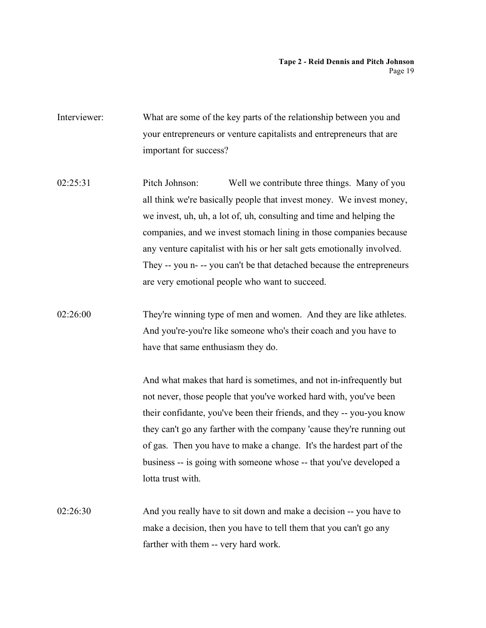- Interviewer: What are some of the key parts of the relationship between you and your entrepreneurs or venture capitalists and entrepreneurs that are important for success?
- 02:25:31 Pitch Johnson: Well we contribute three things. Many of you all think we're basically people that invest money. We invest money, we invest, uh, uh, a lot of, uh, consulting and time and helping the companies, and we invest stomach lining in those companies because any venture capitalist with his or her salt gets emotionally involved. They -- you n- -- you can't be that detached because the entrepreneurs are very emotional people who want to succeed.
- 02:26:00 They're winning type of men and women. And they are like athletes. And you're-you're like someone who's their coach and you have to have that same enthusiasm they do.

And what makes that hard is sometimes, and not in-infrequently but not never, those people that you've worked hard with, you've been their confidante, you've been their friends, and they -- you-you know they can't go any farther with the company 'cause they're running out of gas. Then you have to make a change. It's the hardest part of the business -- is going with someone whose -- that you've developed a lotta trust with.

02:26:30 And you really have to sit down and make a decision -- you have to make a decision, then you have to tell them that you can't go any farther with them -- very hard work.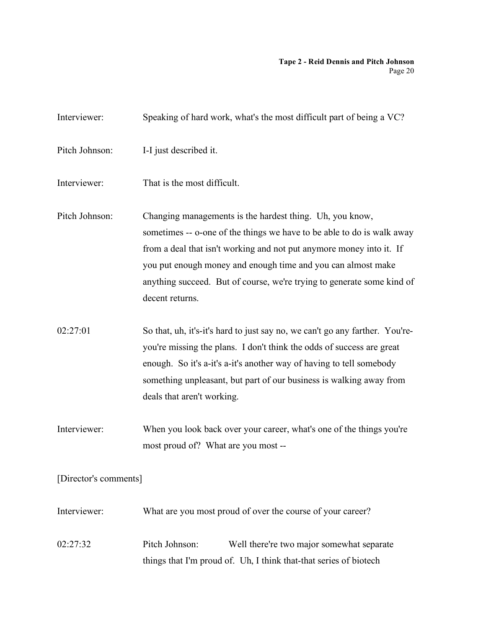| Interviewer:          | Speaking of hard work, what's the most difficult part of being a VC?                                                                                                                                                                                                                                                                                                    |
|-----------------------|-------------------------------------------------------------------------------------------------------------------------------------------------------------------------------------------------------------------------------------------------------------------------------------------------------------------------------------------------------------------------|
| Pitch Johnson:        | I-I just described it.                                                                                                                                                                                                                                                                                                                                                  |
| Interviewer:          | That is the most difficult.                                                                                                                                                                                                                                                                                                                                             |
| Pitch Johnson:        | Changing managements is the hardest thing. Uh, you know,<br>sometimes -- o-one of the things we have to be able to do is walk away<br>from a deal that isn't working and not put anymore money into it. If<br>you put enough money and enough time and you can almost make<br>anything succeed. But of course, we're trying to generate some kind of<br>decent returns. |
| 02:27:01              | So that, uh, it's-it's hard to just say no, we can't go any farther. You're-<br>you're missing the plans. I don't think the odds of success are great<br>enough. So it's a-it's a-it's another way of having to tell somebody<br>something unpleasant, but part of our business is walking away from<br>deals that aren't working.                                      |
| Interviewer:          | When you look back over your career, what's one of the things you're<br>most proud of? What are you most --                                                                                                                                                                                                                                                             |
| [Director's comments] |                                                                                                                                                                                                                                                                                                                                                                         |
| Interviewer:          | What are you most proud of over the course of your career?                                                                                                                                                                                                                                                                                                              |
| 02:27:32              | Pitch Johnson:<br>Well there're two major somewhat separate<br>things that I'm proud of. Uh, I think that-that series of biotech                                                                                                                                                                                                                                        |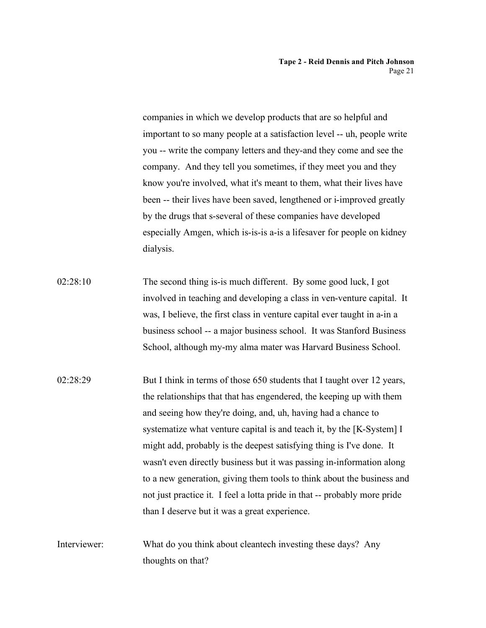companies in which we develop products that are so helpful and important to so many people at a satisfaction level -- uh, people write you -- write the company letters and they-and they come and see the company. And they tell you sometimes, if they meet you and they know you're involved, what it's meant to them, what their lives have been -- their lives have been saved, lengthened or i-improved greatly by the drugs that s-several of these companies have developed especially Amgen, which is-is-is a-is a lifesaver for people on kidney dialysis.

- 02:28:10 The second thing is-is much different. By some good luck, I got involved in teaching and developing a class in ven-venture capital. It was, I believe, the first class in venture capital ever taught in a-in a business school -- a major business school. It was Stanford Business School, although my-my alma mater was Harvard Business School.
- 02:28:29 But I think in terms of those 650 students that I taught over 12 years, the relationships that that has engendered, the keeping up with them and seeing how they're doing, and, uh, having had a chance to systematize what venture capital is and teach it, by the [K-System] I might add, probably is the deepest satisfying thing is I've done. It wasn't even directly business but it was passing in-information along to a new generation, giving them tools to think about the business and not just practice it. I feel a lotta pride in that -- probably more pride than I deserve but it was a great experience.
- Interviewer: What do you think about cleantech investing these days? Any thoughts on that?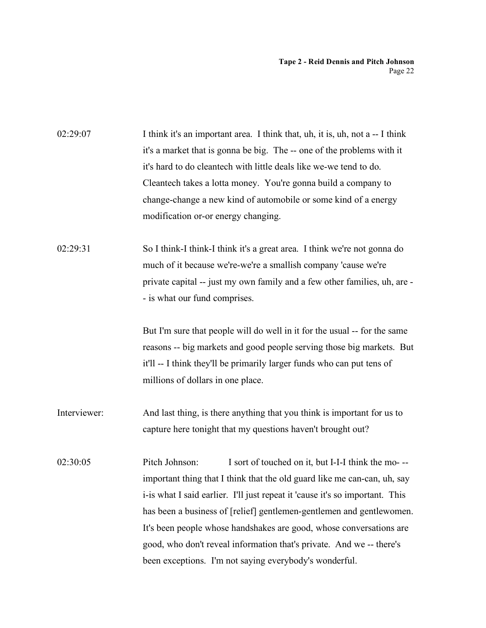| 02:29:07     | I think it's an important area. I think that, uh, it is, uh, not a -- I think<br>it's a market that is gonna be big. The -- one of the problems with it |
|--------------|---------------------------------------------------------------------------------------------------------------------------------------------------------|
|              | it's hard to do cleantech with little deals like we-we tend to do.                                                                                      |
|              | Cleantech takes a lotta money. You're gonna build a company to                                                                                          |
|              | change-change a new kind of automobile or some kind of a energy                                                                                         |
|              | modification or-or energy changing.                                                                                                                     |
| 02:29:31     | So I think-I think-I think it's a great area. I think we're not gonna do                                                                                |
|              | much of it because we're-we're a smallish company 'cause we're                                                                                          |
|              | private capital -- just my own family and a few other families, uh, are -                                                                               |
|              | - is what our fund comprises.                                                                                                                           |
|              | But I'm sure that people will do well in it for the usual -- for the same                                                                               |
|              | reasons -- big markets and good people serving those big markets. But                                                                                   |
|              | it'll -- I think they'll be primarily larger funds who can put tens of                                                                                  |
|              | millions of dollars in one place.                                                                                                                       |
| Interviewer: | And last thing, is there anything that you think is important for us to                                                                                 |
|              | capture here tonight that my questions haven't brought out?                                                                                             |
| 02:30:05     | Pitch Johnson:<br>I sort of touched on it, but I-I-I think the mo---                                                                                    |
|              | important thing that I think that the old guard like me can-can, uh, say                                                                                |
|              | i-is what I said earlier. I'll just repeat it 'cause it's so important. This                                                                            |
|              | has been a business of [relief] gentlemen-gentlemen and gentlewomen.                                                                                    |
|              | It's been people whose handshakes are good, whose conversations are                                                                                     |
|              | good, who don't reveal information that's private. And we -- there's                                                                                    |
|              | been exceptions. I'm not saying everybody's wonderful.                                                                                                  |